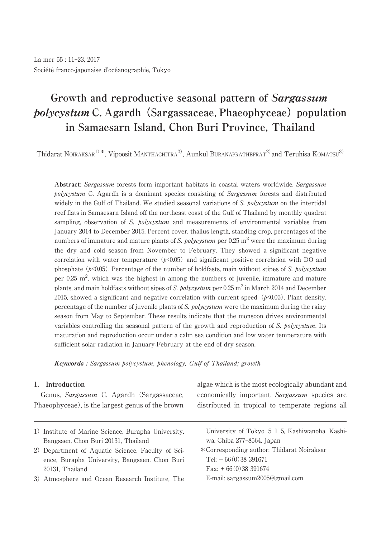# **Growth and reproductive seasonal pattern of Sargassum** *polycystum* C. Agardh (Sargassaceae, Phaeophyceae) population **in Samaesarn Island, Chon Buri Province, Thailand**

Thidarat NOIRAKSAR<sup>1)\*</sup>, Vipoosit MANTHACHITRA<sup>2</sup>, Aunkul BURANAPRATHEPRAT<sup>2)</sup> and Teruhisa KOMATSU<sup>3)</sup>

**Abstract:** Sargassum forests form important habitats in coastal waters worldwide. Sargassum polycystum C. Agardh is a dominant species consisting of Sargassum forests and distributed widely in the Gulf of Thailand. We studied seasonal variations of S. polycystum on the intertidal reef flats in Samaesarn Island off the northeast coast of the Gulf of Thailand by monthly quadrat sampling, observation of S. *polycystum* and measurements of environmental variables from January 2014 to December 2015. Percent cover, thallus length, standing crop, percentages of the numbers of immature and mature plants of S. polycystum per  $0.25 \text{ m}^2$  were the maximum during the dry and cold season from November to February. They showed a significant negative correlation with water temperature ( $p<0.05$ ) and significant positive correlation with DO and phosphate  $(p<0.05)$ . Percentage of the number of holdfasts, main without stipes of S. *polycystum* per 0.25 m 2 , which was the highest in among the numbers of juvenile, immature and mature plants, and main holdfasts without sipes of S. polycystum per 0.25 m<sup>2</sup> in March 2014 and December 2015, showed a significant and negative correlation with current speed ( $p<0.05$ ). Plant density, percentage of the number of juvenile plants of S, *polycystum* were the maximum during the rainy season from May to September. These results indicate that the monsoon drives environmental variables controlling the seasonal pattern of the growth and reproduction of S. *polycystum*. Its maturation and reproduction occur under a calm sea condition and low water temperature with sufficient solar radiation in January-February at the end of dry season.

**Keywords :** Sargassum polycystum, phenology, Gulf of Thailand; growth

## **1. Introduction**

Genus, Sargassum C. Agardh (Sargassaceae, Phaeophyceae), is the largest genus of the brown algae which is the most ecologically abundant and economically important. Sargassum species are distributed in tropical to temperate regions all

- 1) Institute of Marine Science, Burapha University, Bangsaen, Chon Buri 20131, Thailand
- 2) Department of Aquatic Science, Faculty of Science, Burapha University, Bangsaen, Chon Buri 20131, Thailand
- 3)Atmosphere and Ocean Research Institute, The

University of Tokyo, 5-1-5, Kashiwanoha, Kashiwa, Chiba 277-8564, Japan

\*Corresponding author: Thidarat Noiraksar Tel: + 66(0)38 391671 Fax: + 66(0)38 391674 E-mail: sargassum2005@gmail.com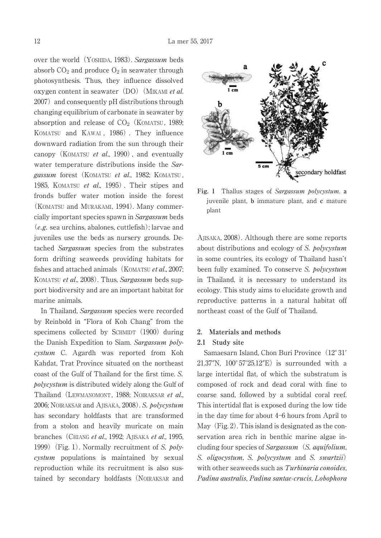over the world (YOSHIDA, 1983). Sargassum beds absorb  $CO<sub>2</sub>$  and produce  $O<sub>2</sub>$  in seawater through photosynthesis. Thus, they influence dissolved oxygen content in seawater $(DO)$  (MIKAMI *et al.*)  $2007$ ) and consequently pH distributions through changing equilibrium of carbonate in seawater by absorption and release of  $CO<sub>2</sub>$  (KOMATSU, 1989; KOMATSU and KAWAI , 1986) . They influence downward radiation from the sun through their canopy (KOMATSU *et al.*, 1990), and eventually water temperature distributions inside the Sargassum forest (KOMATSU et al., 1982; KOMATSU, 1985, KOMATSU et al., 1995). Their stipes and fronds buffer water motion inside the forest (KOMATSU and MURAKAMI, 1994). Many commercially important species spawn in Sargassum beds (e.g. sea urchins, abalones, cuttlefish); larvae and juveniles use the beds as nursery grounds. Detached Sargassum species from the substrates form drifting seaweeds providing habitats for fishes and attached animals (KOMATSU et al., 2007; KOMATSU et al., 2008). Thus, Sargassum beds support biodiversity and are an important habitat for marine animals.

In Thailand, Sargassum species were recorded by Reinbold in "Flora of Koh Chang" from the specimens collected by SCHMIDT  $(1900)$  during the Danish Expedition to Siam. Sargassum polycystum C. Agardh was reported from Koh Kahdat, Trat Province situated on the northeast coast of the Gulf of Thailand for the first time. S. polycystum is distributed widely along the Gulf of Thailand (LEWMANOMONT, 1988; NOIRAKSAR et al., 2006; NOIRAKSAR and AJISAKA, 2008). S. polycystum has secondary holdfasts that are transformed from a stolon and heavily muricate on main branches (CHIANG et al., 1992; AJISAKA et al., 1995, 1999) (Fig. 1). Normally recruitment of S. polycystum populations is maintained by sexual reproduction while its recruitment is also sustained by secondary holdfasts (NOIRAKSAR and



**Fig. 1** Thallus stages of Sargassum polycystum. **a** juvenile plant, **b** immature plant, and **c** mature plant

AJISAKA, 2008). Although there are some reports about distributions and ecology of S. polycystum in some countries, its ecology of Thailand hasn't been fully examined. To conserve S. polycystum in Thailand, it is necessary to understand its ecology. This study aims to elucidate growth and reproductive patterns in a natural habitat off northeast coast of the Gulf of Thailand.

## **2. Materials and methods**

#### **2.1 Study site**

Samaesarn Island, Chon Buri Province (12°31′  $21.37''N$ ,  $100^{\circ}57'25.12''E$  is surrounded with a large intertidal flat, of which the substratum is composed of rock and dead coral with fine to coarse sand, followed by a subtidal coral reef. This intertidal flat is exposed during the low tide in the day time for about  $4-6$  hours from April to May  $(Fig, 2)$ . This island is designated as the conservation area rich in benthic marine algae including four species of Sargassum  $(S.$  aquifolium, S. oligocystum, S. polycystum and S. swartzii) with other seaweeds such as Turbinaria conoides, Padina australis, Padina santae-crucis, Lobophora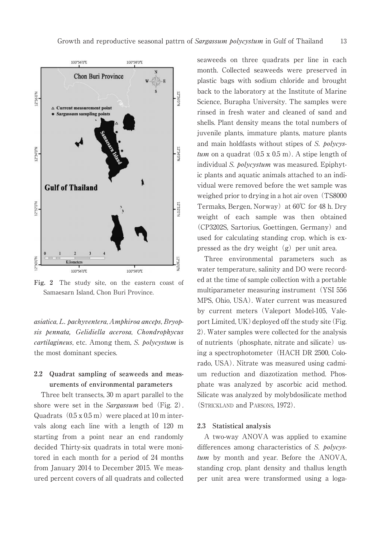

**Fig. 2** The study site, on the eastern coast of Samaesarn Island, Chon Buri Province.

asiatica, L. pachyventera, Amphiroa anceps, Bryopsis pennata, Gelidiella acerosa, Chondrophycus cartilagineus, etc. Among them, S. polycystum is the most dominant species.

# **2.2 Quadrat sampling of seaweeds and measurements of environmental parameters**

Three belt transects, 30 m apart parallel to the shore were set in the *Sargassum* bed (Fig. 2). Quadrats  $(0.5 \times 0.5 \text{ m})$  were placed at 10 m intervals along each line with a length of 120 m starting from a point near an end randomly decided Thirty-six quadrats in total were monitored in each month for a period of 24 months from January 2014 to December 2015. We measured percent covers of all quadrats and collected seaweeds on three quadrats per line in each month. Collected seaweeds were preserved in plastic bags with sodium chloride and brought back to the laboratory at the Institute of Marine Science, Burapha University. The samples were rinsed in fresh water and cleaned of sand and shells. Plant density means the total numbers of juvenile plants, immature plants, mature plants and main holdfasts without stipes of S. polycystum on a quadrat  $(0.5 \times 0.5 \text{ m})$ . A stipe length of individual S. *bolycystum* was measured. Epiphytic plants and aquatic animals attached to an individual were removed before the wet sample was weighed prior to drying in a hot air oven (TS8000) Termaks, Bergen, Norway) at  $60^{\circ}$ C for 48 h. Dry weight of each sample was then obtained (CP3202S, Sartorius, Goettingen, Germany) and used for calculating standing crop, which is expressed as the dry weight  $(g)$  per unit area.

Three environmental parameters such as water temperature, salinity and DO were recorded at the time of sample collection with a portable multiparameter measuring instrument (YSI 556) MPS, Ohio, USA). Water current was measured by current meters(Valeport Model-105, Valeport Limited,  $UK$ ) deployed off the study site (Fig. 2). Water samples were collected for the analysis of nutrients (phosphate, nitrate and silicate) using a spectrophotometer (HACH DR 2500, Colorado, USA). Nitrate was measured using cadmium reduction and diazotization method. Phosphate was analyzed by ascorbic acid method. Silicate was analyzed by molybdosilicate method (STRICKLAND and PARSONS, 1972).

## **2.3 Statistical analysis**

A two-way ANOVA was applied to examine differences among characteristics of S. polycystum by month and year. Before the ANOVA, standing crop, plant density and thallus length per unit area were transformed using a loga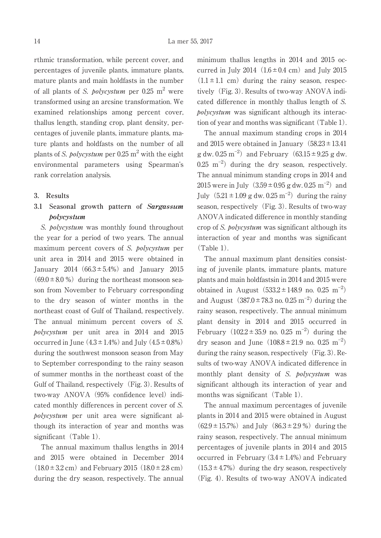rthmic transformation, while percent cover, and percentages of juvenile plants, immature plants, mature plants and main holdfasts in the number of all plants of *S. polycystum* per  $0.25 \text{ m}^2$  were transformed using an arcsine transformation. We examined relationships among percent cover, thallus length, standing crop, plant density, percentages of juvenile plants, immature plants, mature plants and holdfasts on the number of all plants of S. *polycystum* per 0.25 m<sup>2</sup> with the eight environmental parameters using Spearman's rank correlation analysis.

#### **3. Results**

# **3.1 Seasonal growth pattern of Sargassum polycystum**

S. *bolycystum* was monthly found throughout the year for a period of two years. The annual maximum percent covers of S. *polycystum* per unit area in 2014 and 2015 were obtained in January 2014 (66.3 $\pm$ 5.4%) and January 2015  $(69.0 \pm 8.0 \%)$  during the northeast monsoon season from November to February corresponding to the dry season of winter months in the northeast coast of Gulf of Thailand, respectively. The annual minimum percent covers of S. polycystum per unit area in 2014 and 2015 occurred in June  $(4.3 \pm 1.4\%)$  and July  $(4.5 \pm 0.8\%)$ during the southwest monsoon season from May to September corresponding to the rainy season of summer months in the northeast coast of the Gulf of Thailand, respectively (Fig. 3). Results of two-way ANOVA (95% confidence level) indicated monthly differences in percent cover of S. polycystum per unit area were significant although its interaction of year and months was significant  $(Table 1)$ .

The annual maximum thallus lengths in 2014 and 2015 were obtained in December 2014  $(18.0 \pm 3.2 \text{ cm})$  and February 2015  $(18.0 \pm 2.8 \text{ cm})$ during the dry season, respectively. The annual minimum thallus lengths in 2014 and 2015 occurred in July 2014  $(1.6 \pm 0.4 \text{ cm})$  and July 2015  $(1.1 \pm 1.1 \text{ cm})$  during the rainy season, respectively (Fig. 3). Results of two-way ANOVA indicated difference in monthly thallus length of S. polycystum was significant although its interaction of year and months was significant (Table 1).

The annual maximum standing crops in 2014 and 2015 were obtained in January  $(58.23 \pm 13.41)$ g dw.  $0.25 \text{ m}^{-2}$  and February (63.15  $\pm$  9.25 g dw.  $0.25 \text{ m}^{-2}$  during the dry season, respectively. The annual minimum standing crops in 2014 and 2015 were in July  $(3.59 \pm 0.95 \text{ g} \text{ dw}$ . 0.25 m<sup>-2</sup>) and July  $(5.21 \pm 1.09 \text{ g dw} \cdot 0.25 \text{ m}^{-2})$  during the rainy season, respectively (Fig. 3). Results of two-way ANOVA indicated difference in monthly standing crop of S. polycystum was significant although its interaction of year and months was significant (Table 1).

The annual maximum plant densities consisting of juvenile plants, immature plants, mature plants and main holdfastsin in 2014 and 2015 were obtained in August  $(533.2 \pm 148.9 \text{ no. } 0.25 \text{ m}^{-2})$ and August  $(387.0 \pm 78.3 \text{ no. } 0.25 \text{ m}^{-2})$  during the rainy season, respectively. The annual minimum plant density in 2014 and 2015 occurred in February  $(102.2 \pm 35.9 \text{ no. } 0.25 \text{ m}^{-2})$  during the dry season and June  $(108.8 \pm 21.9 \text{ no. } 0.25 \text{ m}^{-2})$ during the rainy season, respectively  $(Fig. 3)$ . Results of two-way ANOVA indicated difference in monthly plant density of S. polycystum was significant although its interaction of year and months was significant (Table 1).

The annual maximum percentages of juvenile plants in 2014 and 2015 were obtained in August  $(62.9 \pm 15.7\%)$  and July  $(86.3 \pm 2.9\%)$  during the rainy season, respectively. The annual minimum percentages of juvenile plants in 2014 and 2015 occurred in February  $(3.4 \pm 1.4\%)$  and February  $(15.3 \pm 4.7\%)$  during the dry season, respectively (Fig. 4). Results of two-way ANOVA indicated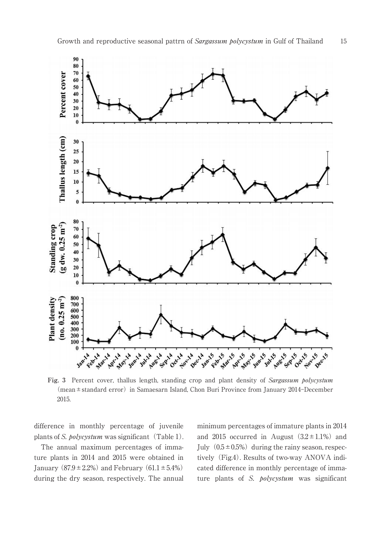

Fig. 3 Percent cover, thallus length, standing crop and plant density of *Sargassum polycystum* (mean±standard error) in Samaesarn Island, Chon Buri Province from January 2014–December 2015.

difference in monthly percentage of juvenile plants of S.  $polycystum$  was significant (Table 1).

The annual maximum percentages of immature plants in 2014 and 2015 were obtained in January ( $87.9 \pm 2.2\%$ ) and February ( $61.1 \pm 5.4\%$ ) during the dry season, respectively. The annual minimum percentages of immature plants in 2014 and 2015 occurred in August  $(3.2 \pm 1.1\%)$  and July  $(0.5 \pm 0.5\%)$  during the rainy season, respectively (Fig.4). Results of two-way ANOVA indicated difference in monthly percentage of immature plants of S. *polycystum* was significant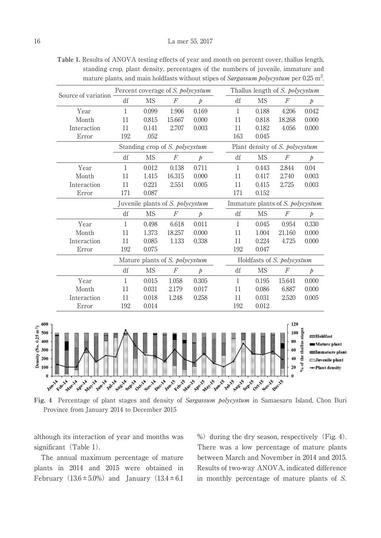**Table 1.** Results of ANOVA testing effects of year and month on percent cover, thallus length, standing crop, plant density, percentages of the numbers of juvenile, immature and mature plants, and main holdfasts without stipes of Sargassum polycystum per 0.25  $\mathrm{m}^2$ .

|                     | Percent coverage of S. polycystum |                                  |                  |           | Thallus length of S. polycystum |                                  |                  |           |
|---------------------|-----------------------------------|----------------------------------|------------------|-----------|---------------------------------|----------------------------------|------------------|-----------|
| Source of variation | df                                | <b>MS</b>                        | $\overline{F}$   | Þ         | df                              | MS                               | F                | $\dot{p}$ |
| Year                | $\mathbf{1}$                      | 0.099                            | 1.906            | 0.169     | $\mathbf{1}$                    | 0.188                            | 4.206            | 0.042     |
| Month               | 11                                | 0.815                            | 15.667           | 0.000     | 11                              | 0.818                            | 18.268           | 0.000     |
| Interaction         | 11                                | 0.141                            | 2.707            | 0.003     | 11                              | 0.182                            | 4.056            | 0.000     |
| Error               | 192                               | .052                             |                  |           | 163                             | 0.045                            |                  |           |
|                     |                                   | Standing crop of S. polycystum   |                  |           |                                 | Plant density of S. polycystum   |                  |           |
|                     | df                                | <b>MS</b>                        | $\boldsymbol{F}$ | Þ         | df                              | <b>MS</b>                        | $\boldsymbol{F}$ | $\dot{p}$ |
| Year                | $\mathbf{1}$                      | 0.012                            | 0.138            | 0.711     | $\mathbf{1}$                    | 0.443                            | 2.844            | 0.04      |
| Month               | 11                                | 1.415                            | 16.315           | 0.000     | 11                              | 0.417                            | 2.740            | 0.003     |
| Interaction         | 11                                | 0.221                            | 2.551            | 0.005     | 11                              | 0.415                            | 2.725            | 0.003     |
| Error               | 171                               | 0.087                            |                  |           | 171                             | 0.152                            |                  |           |
|                     |                                   | Juvenile plants of S. polycystum |                  |           |                                 | Immature plants of S. polycystum |                  |           |
|                     | df                                | <b>MS</b>                        | $\boldsymbol{F}$ | $\dot{p}$ | df                              | <b>MS</b>                        | $\boldsymbol{F}$ | $\rlap/p$ |
| Year                | $\mathbf{1}$                      | 0.498                            | 6.618            | 0.011     | 1                               | 0.045                            | 0.954            | 0.330     |
| Month               | 11                                | 1.373                            | 18.257           | 0.000     | 11                              | 1.004                            | 21.160           | 0.000     |
| Interaction         | 11                                | 0.085                            | 1.133            | 0.338     | 11                              | 0.224                            | 4.725            | 0.000     |
| Error               | 192                               | 0.075                            |                  |           | 192                             | 0.047                            |                  |           |
|                     |                                   | Mature plants of S. polycystum   |                  |           |                                 | Holdfasts of S. polycystum       |                  |           |
|                     | df                                | <b>MS</b>                        | $\boldsymbol{F}$ | $\dot{p}$ | df                              | <b>MS</b>                        | $\boldsymbol{F}$ | $\dot{p}$ |
| Year                | 1                                 | 0.015                            | 1.058            | 0.305     | 1                               | 0.195                            | 15.641           | 0.000     |
| Month               | 11                                | 0.031                            | 2.179            | 0.017     | 11                              | 0.086                            | 6.887            | 0.000     |
| Interaction         | 11                                | 0.018                            | 1.248            | 0.258     | 11                              | 0.031                            | 2.520            | 0.005     |
| Error               | 192                               | 0.014                            |                  |           | 192                             | 0.012                            |                  |           |

**Fig. 4** Percentage of plant stages and density of Sargassum polycystum in Samaesarn Island, Chon Buri Province from January 2014 to December 2015

and development were the south of sorting of the form of your things the post to development were to

although its interaction of year and months was significant (Table 1).

APLA May 1 A way to which we is

The annual maximum percentage of mature plants in 2014 and 2015 were obtained in February  $(13.6 \pm 5.0\%)$  and January  $(13.4 \pm 6.1)$ 

%) during the dry season, respectively (Fig. 4). There was a low percentage of mature plants between March and November in 2014 and 2015. Results of two-way ANOVA, indicated difference in monthly percentage of mature plants of S.

 $\ddot{\theta}$ 

Jan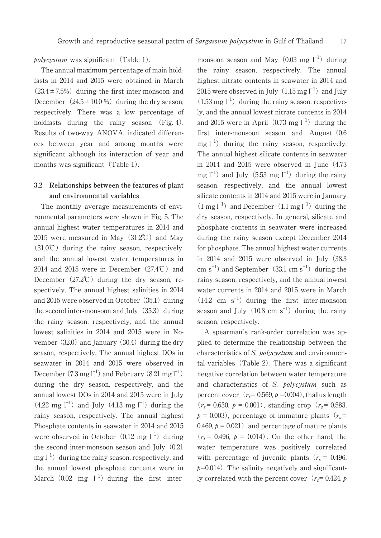$polycystum$  was significant (Table 1).

The annual maximum percentage of main holdfasts in 2014 and 2015 were obtained in March  $(23.4 \pm 7.5\%)$  during the first inter-monsoon and December  $(24.5 \pm 10.0 \%)$  during the dry season, respectively. There was a low percentage of holdfasts during the rainy season (Fig. 4). Results of two-way ANOVA, indicated differences between year and among months were significant although its interaction of year and months was significant  $(Table 1)$ .

## **3.2 Relationships between the features of plant and environmental variables**

The monthly average measurements of environmental parameters were shown in Fig. 5. The annual highest water temperatures in 2014 and 2015 were measured in May $(31.2^{\circ}\text{C})$  and May  $(31.0\degree\text{C})$  during the rainy season, respectively, and the annual lowest water temperatures in 2014 and 2015 were in December  $(27.4^{\circ}\text{C})$  and December  $(27.2^{\circ}\text{C})$  during the dry season, respectively. The annual highest salinities in 2014 and  $2015$  were observed in October  $(35.1)$  during the second inter-monsoon and July  $(35.3)$  during the rainy season, respectively, and the annual lowest salinities in 2014 and 2015 were in November  $(32.0)$  and January  $(30.4)$  during the dry season, respectively. The annual highest DOs in seawater in 2014 and 2015 were observed in December  $(7.3 \text{ mg l}^{-1})$  and February  $(8.21 \text{ mg l}^{-1})$ during the dry season, respectively, and the annual lowest DOs in 2014 and 2015 were in July  $(4.22 \text{ mg } l^{-1})$  and July  $(4.13 \text{ mg } l^{-1})$  during the rainy season, respectively. The annual highest Phosphate contents in seawater in 2014 and 2015 were observed in October  $(0.12 \text{ mg } l^{-1})$  during the second inter-monsoon season and July  $(0.21)$  $mg l^{-1}$  during the rainy season, respectively, and the annual lowest phosphate contents were in March  $(0.02 \text{ mg } l^{-1})$  during the first inter-

monsoon season and May  $(0.03 \text{ mg } l^{-1})$  during the rainy season, respectively. The annual highest nitrate contents in seawater in 2014 and  $2015$  were observed in July $(1.15 \,\mathrm{mg}\, \mathrm{l}^{-1})$  and July  $(1.53 \text{ mg l}^{-1})$  during the rainy season, respectively, and the annual lowest nitrate contents in 2014 and 2015 were in April  $(0.73 \text{ mg l}^{-1})$  during the first inter-monsoon season and August $(0.6$ mg  $l^{-1}$ ) during the rainy season, respectively. The annual highest silicate contents in seawater in 2014 and 2015 were observed in June(4.73 mg  $l^{-1}$ ) and July (5.53 mg  $l^{-1}$ ) during the rainy season, respectively, and the annual lowest silicate contents in 2014 and 2015 were in January  $(1 \text{ mg l}^{-1})$  and December  $(1.1 \text{ mg l}^{-1})$  during the dry season, respectively. In general, silicate and phosphate contents in seawater were increased during the rainy season except December 2014 for phosphate. The annual highest water currents in 2014 and 2015 were observed in July (38.3 cm  $s^{-1}$ ) and September (33.1 cm  $s^{-1}$ ) during the rainy season, respectively, and the annual lowest water currents in 2014 and 2015 were in March  $(14.2 \text{ cm s}^{-1})$  during the first inter-monsoon season and July  $(10.8 \text{ cm s}^{-1})$  during the rainy season, respectively.

A spearman's rank-order correlation was applied to determine the relationship between the characteristics of S. polycystum and environmental variables  $(Table 2)$ . There was a significant negative correlation between water temperature and characteristics of S. polycystum such as percent cover  $(r_s= 0.569, p = 0.004)$ , thallus length  $(r<sub>s</sub>= 0.630, p = 0.001)$ , standing crop  $(r<sub>s</sub>= 0.583,$  $p = 0.003$ , percentage of immature plants ( $r_s$ = 0.469,  $p = 0.021$  and percentage of mature plants  $(r_s = 0.496, p = 0.014)$ . On the other hand, the water temperature was positively correlated with percentage of juvenile plants ( $r_s = 0.496$ ,  $p=0.014$ ). The salinity negatively and significantly correlated with the percent cover  $(r_s= 0.424, p$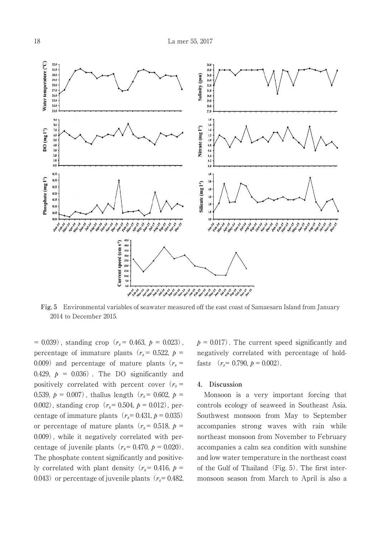

**Fig. 5** Environmental variables of seawater measured off the east coast of Samaesarn Island from January 2014 to December 2015.

 $= 0.039$ , standing crop ( $r_s = 0.463$ ,  $p = 0.023$ ), percentage of immature plants ( $r_s$  = 0.522,  $p =$ 0.009) and percentage of mature plants ( $r_s$  = 0.429,  $p = 0.036$ . The DO significantly and positively correlated with percent cover  $(r_s =$ 0.539,  $p = 0.007$ , thallus length ( $r_s = 0.602$ ,  $p =$ 0.002), standing crop ( $r_s$  = 0.504,  $p = 0.012$ ), percentage of immature plants  $(r_s= 0.431, p = 0.035)$ or percentage of mature plants ( $r_s$  = 0.518,  $p =$ 0.009) , while it negatively correlated with percentage of juvenile plants ( $r_s$  = 0.470,  $p = 0.020$ ). The phosphate content significantly and positively correlated with plant density ( $r_s$  = 0.416,  $p$  = 0.043) or percentage of juvenile plants ( $r_s$ = 0.482,  $p = 0.017$ . The current speed significantly and negatively correlated with percentage of holdfasts  $(r_s = 0.790, p = 0.002)$ .

#### **4. Discussion**

Monsoon is a very important forcing that controls ecology of seaweed in Southeast Asia. Southwest monsoon from May to September accompanies strong waves with rain while northeast monsoon from November to February accompanies a calm sea condition with sunshine and low water temperature in the northeast coast of the Gulf of Thailand  $(Fig. 5)$ . The first intermonsoon season from March to April is also a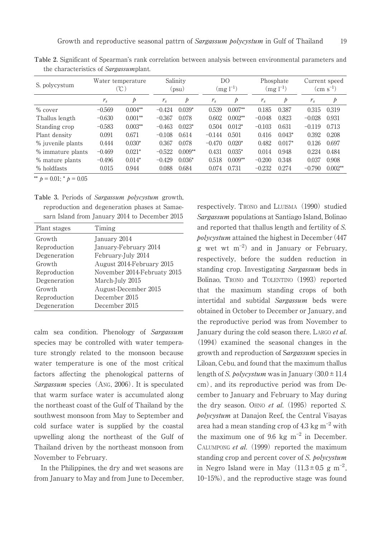| S. polycystum     | Water temperature<br>C. |           | Salinity<br>(psu) |           | DO<br>$(mg l^{-1})$ |           | Phosphate<br>$(mg l^{-1})$ |          | Current speed<br>$\rm (cm\; s^{-1})$ |           |
|-------------------|-------------------------|-----------|-------------------|-----------|---------------------|-----------|----------------------------|----------|--------------------------------------|-----------|
|                   | $r_{s}$                 | Þ         | $r_{s}$           | Þ         | $r_{s}$             | Þ         | $r_{s}$                    | Þ        | $r_{s}$                              | Þ         |
| % cover           | $-0.569$                | $0.004**$ | $-0.424$          | $0.039*$  | 0.539               | $0.007**$ | 0.185                      | 0.387    | 0.315                                | 0.319     |
| Thallus length    | $-0.630$                | $0.001**$ | $-0.367$          | 0.078     | 0.602               | $0.002**$ | $-0.048$                   | 0.823    | $-0.028$                             | 0.931     |
| Standing crop     | $-0.583$                | $0.003**$ | $-0.463$          | $0.023*$  | 0.504               | $0.012*$  | $-0.103$                   | 0.631    | $-0.119$                             | 0.713     |
| Plant density     | 0.091                   | 0.671     | $-0.108$          | 0.614     | $-0.144$            | 0.501     | 0.416                      | $0.043*$ | 0.392                                | 0.208     |
| % juvenile plants | 0.444                   | $0.030*$  | 0.367             | 0.078     | $-0.470$            | $0.020*$  | 0.482                      | $0.017*$ | 0.126                                | 0.697     |
| % immature plants | $-0.469$                | $0.021*$  | $-0.522$          | $0.009**$ | 0.431               | $0.035*$  | 0.014                      | 0.948    | 0.224                                | 0.484     |
| % mature plants   | $-0.496$                | $0.014*$  | $-0.429$          | $0.036*$  | 0.518               | $0.009**$ | $-0.200$                   | 0.348    | 0.037                                | 0.908     |
| % holdfasts       | 0.015                   | 0.944     | 0.088             | 0.684     | 0.074               | 0.731     | $-0.232$                   | 0.274    | $-0.790$                             | $0.002**$ |

the characteristics of Sargassumplant.

\*\*  $p = 0.01$ ; \*  $p = 0.05$ 

| Table 3. Periods of Sargassum polycystum growth, |
|--------------------------------------------------|
| reproduction and degeneration phases at Samae-   |
| sarn Island from January 2014 to December 2015   |

| Plant stages | Timing                      |
|--------------|-----------------------------|
| Growth       | January 2014                |
| Reproduction | January-February 2014       |
| Degeneration | February-July 2014          |
| Growth       | August 2014-February 2015   |
| Reproduction | November 2014-Februaty 2015 |
| Degeneration | March-July 2015             |
| Growth       | August-December 2015        |
| Reproduction | December 2015               |
| Degeneration | December 2015               |
|              |                             |

calm sea condition. Phenology of Sargassum species may be controlled with water temperature strongly related to the monsoon because water temperature is one of the most critical factors affecting the phenological patterns of Sargassum species  $(Ans, 2006)$ . It is speculated that warm surface water is accumulated along the northeast coast of the Gulf of Thailand by the southwest monsoon from May to September and cold surface water is supplied by the coastal upwelling along the northeast of the Gulf of Thailand driven by the northeast monsoon from November to February.

In the Philippines, the dry and wet seasons are from January to May and from June to December,

respectively. Trono and LLUISMA (1990) studied Sargassum populations at Santiago Island, Bolinao and reported that thallus length and fertility of S. polycystum attained the highest in December(447 g wet wt  $m^{-2}$ ) and in January or February, respectively, before the sudden reduction in standing crop. Investigating Sargassum beds in Bolinao, TRONO and TOLENTINO (1993) reported that the maximum standing crops of both intertidal and subtidal Sargassum beds were obtained in October to December or January, and the reproductive period was from November to January during the cold season there. LARGO et al.  $(1994)$  examined the seasonal changes in the growth and reproduction of Sargassum species in Liloan, Cebu, and found that the maximum thallus length of S. *polycystum* was in January (30.0  $\pm$  11.4 cm), and its reproductive period was from December to January and February to May during the dry season. OHNO *et al.* (1995) reported S. polycystum at Danajon Reef, the Central Visayas area had a mean standing crop of  $4.3 \text{ kg m}^{-2}$  with the maximum one of 9.6 kg  $m^{-2}$  in December. CALUMPONG et al.  $(1999)$  reported the maximum standing crop and percent cover of S. polycystum in Negro Island were in May  $(11.3 \pm 0.5 \text{ g m}^{-2})$ , 10-15%), and the reproductive stage was found Table A. United that the Properties of Spearman's rank correlation between analysis between convironmental correlation between the correlation of the Correlation of the Correlation between analysis between environmental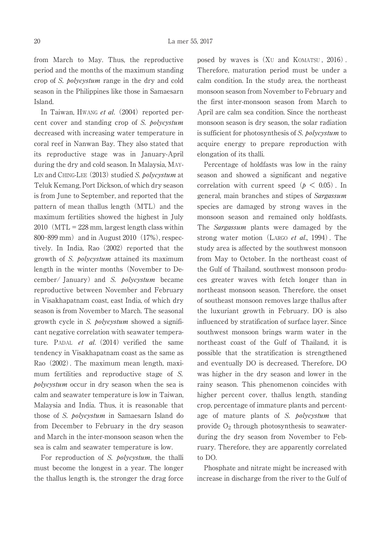from March to May. Thus, the reproductive period and the months of the maximum standing crop of S. polycystum range in the dry and cold season in the Philippines like those in Samaesarn Island.

In Taiwan, HWANG et al.  $(2004)$  reported percent cover and standing crop of S. polycystum decreased with increasing water temperature in coral reef in Nanwan Bay. They also stated that its reproductive stage was in January-April during the dry and cold season. In Malaysia, MAY-LIN and CHING-LEE  $(2013)$  studied S. polycystum at Teluk Kemang, Port Dickson, of which dry season is from June to September, and reported that the pattern of mean thallus length (MTL) and the maximum fertilities showed the highest in July  $2010$  (MTL = 228 mm, largest length class within  $800 - 899$  mm) and in August 2010 (17%), respectively. In India, Rao $(2002)$  reported that the growth of S. polycystum attained its maximum length in the winter months(November to December/ January) and S. *polycystum* became reproductive between November and February in Visakhapatnam coast, east India, of which dry season is from November to March. The seasonal growth cycle in S. polycystum showed a significant negative correlation with seawater temperature. PADAL *et al.*  $(2014)$  verified the same tendency in Visakhapatnam coast as the same as Rao(2002). The maximum mean length, maximum fertilities and reproductive stage of S. polycystum occur in dry season when the sea is calm and seawater temperature is low in Taiwan, Malaysia and India. Thus, it is reasonable that those of S. polycystum in Samaesarn Island do from December to February in the dry season and March in the inter-monsoon season when the sea is calm and seawater temperature is low.

For reproduction of S. *polycystum*, the thalli must become the longest in a year. The longer the thallus length is, the stronger the drag force posed by waves is  $(XU)$  and KOMATSU,  $2016$ ). Therefore, maturation period must be under a calm condition. In the study area, the northeast monsoon season from November to February and the first inter-monsoon season from March to April are calm sea condition. Since the northeast monsoon season is dry season, the solar radiation is sufficient for photosynthesis of S. polycystum to acquire energy to prepare reproduction with elongation of its thalli.

Percentage of holdfasts was low in the rainy season and showed a significant and negative correlation with current speed ( $p < 0.05$ ). In general, main branches and stipes of Sargassum species are damaged by strong waves in the monsoon season and remained only holdfasts. The Sargassum plants were damaged by the strong water motion (LARGO *et al.*, 1994). The study area is affected by the southwest monsoon from May to October. In the northeast coast of the Gulf of Thailand, southwest monsoon produces greater waves with fetch longer than in northeast monsoon season. Therefore, the onset of southeast monsoon removes large thallus after the luxuriant growth in February. DO is also influenced by stratification of surface layer. Since southwest monsoon brings warm water in the northeast coast of the Gulf of Thailand, it is possible that the stratification is strengthened and eventually DO is decreased. Therefore, DO was higher in the dry season and lower in the rainy season. This phenomenon coincides with higher percent cover, thallus length, standing crop, percentage of immature plants and percentage of mature plants of S. *polycystum* that provide  $O_2$  through photosynthesis to seawaterduring the dry season from November to February. Therefore, they are apparently correlated to DO.

Phosphate and nitrate might be increased with increase in discharge from the river to the Gulf of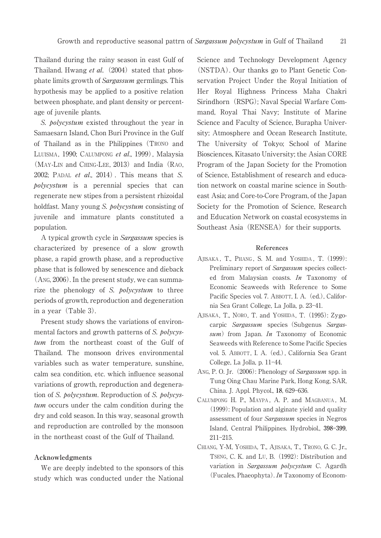Thailand during the rainy season in east Gulf of Thailand. Hwang et al.  $(2004)$  stated that phosphate limits growth of Sargassum germlings. This hypothesis may be applied to a positive relation between phosphate, and plant density or percentage of juvenile plants.

S. *bolycystum* existed throughout the year in Samaesarn Island, Chon Buri Province in the Gulf of Thailand as in the Philippines(TRONO and LLUISMA, 1990; CALUMPONG et al., 1999), Malaysia  $(MAY-LIN and CHING-LEE, 2013)$  and India  $(RAO,$ 2002: PADAL et al.,  $2014$ ). This means that S. polycystum is a perennial species that can regenerate new stipes from a persistent rhizoidal holdfast. Many young S. polycystum consisting of juvenile and immature plants constituted a population.

A typical growth cycle in Sargassum species is characterized by presence of a slow growth phase, a rapid growth phase, and a reproductive phase that is followed by senescence and dieback (ANG, 2006). In the present study, we can summarize the phenology of S. *polycystum* to three periods of growth, reproduction and degeneration in a year (Table 3).

Present study shows the variations of environmental factors and growth patterns of S. polycystum from the northeast coast of the Gulf of Thailand. The monsoon drives environmental variables such as water temperature, sunshine, calm sea condition, etc. which influence seasonal variations of growth, reproduction and degeneration of S. polycystum. Reproduction of S. polycystum occurs under the calm condition during the dry and cold season. In this way, seasonal growth and reproduction are controlled by the monsoon in the northeast coast of the Gulf of Thailand.

#### **Acknowledgments**

We are deeply indebted to the sponsors of this study which was conducted under the National Science and Technology Development Agency (NSTDA). Our thanks go to Plant Genetic Conservation Project Under the Royal Initiation of Her Royal Highness Princess Maha Chakri Sirindhorn (RSPG); Naval Special Warfare Command, Royal Thai Navy; Institute of Marine Science and Faculty of Science, Burapha University; Atmosphere and Ocean Research Institute, The University of Tokyo; School of Marine Biosciences, Kitasato University; the Asian CORE Program of the Japan Society for the Promotion of Science, Establishment of research and education network on coastal marine science in Southeast Asia; and Core-to-Core Program, of the Japan Society for the Promotion of Science, Research and Education Network on coastal ecosystems in Southeast Asia (RENSEA) for their supports.

#### **References**

- AJISAKA, T., PHANG, S. M. and YOSHIDA, T. (1999): Preliminary report of Sargassum species collected from Malaysian coasts. In Taxonomy of Economic Seaweeds with Reference to Some Pacific Species vol. 7. ABBOTT, I. A. (ed.), California Sea Grant College, La Jolla, p. 23-41.
- AJISAKA, T., NORO, T. and YOSHIDA, T. (1995): Zygocarpic Sargassum species (Subgenus Sargas $sum$ ) from Japan. In Taxonomy of Economic Seaweeds with Reference to Some Pacific Species vol. 5. ABBOTT, I. A.(ed.), California Sea Grant College, La Jolla, p. 11-44.
- ANG, P. O. Jr. (2006): Phenology of Sargassum spp. in Tung Oing Chau Marine Park, Hong Kong, SAR, China. J. Appl. Phycol., 18, 629-636.
- CALUMPONG H. P., MAYPA , A. P. and MAGBANUA , M. (1999): Population and alginate yield and quality assessment of four Sargassum species in Negros Island, Central Philippines. Hydrobiol., 398-399,  $211 - 215$ .
- CHIANG, Y-M, YOSHIDA, T., AJISAKA, T., TRONO, G. C. Jr., TSENG, C. K. and LU, B.(1992): Distribution and variation in Sargassum polycystum C. Agardh (Fucales, Phaeophyta). In Taxonomy of Econom-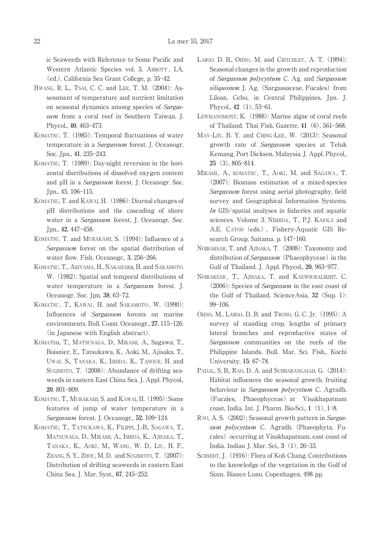ic Seaweeds with Reference to Some Pacific and Western Atlantic Species vol. 3, ABBOTT , I.A. (ed.), California Sea Grant College, p. 35-42.

- HWANG, R. L., TSAI, C. C. and LEE, T. M.(2004): Assessment of temperature and nutrient limitation on seasonal dynamics among species of Sargassum from a coral reef in Southern Taiwan. J. Phycol., 40, 463-473.
- KOMATSU, T. (1985): Temporal fluctuations of water temperature in a *Sargassum* forest. J. Oceanogr. Soc. Jpn., 41, 235-243.
- KOMATSU, T. (1989): Day-night reversion in the horizontal distributions of dissolved oxygen content and pH in a Sargassum forest. J. Oceanogr. Soc. Jpn., 45, 106-115.
- KOMATSU, T. and KAWAI, H. (1986): Diurnal changes of pH distributions and the cascading of shore water in a *Sargassum* forest, J. Oceanogr. Soc. Jpn., 42, 447-458.
- KOMATSU, T. and MURAKAMI, S. (1994): Influence of a Sargassum forest on the spatial distribution of water flow. Fish. Oceanogr., 3, 256-266.
- KOMATSU, T., ARIYAMA, H., NAKAHARa, H. and SAKAMOTO, W. (1982): Spatial and temporal distributions of water temperature in a Sargassum forest. J. Oceanogr. Soc. Jpn, 38, 63-72.
- KOMATSU, T., KAWAI, H. and SAKAMOTO, W. (1990): Influences of Sargassum forests on marine environments. Bull. Coast. Oceanogr., 27, 115-126. (in Japanese with English abstract).
- KOMATSu, T., MATSUNAGA, D., MIKAMI, A., Sagawa, T., Boisnier, E., Tatsukawa, K., Aoki, M., Ajisaka, T., UWAI, S., TANAKA, K., ISHIDA, K., TANOUE, H. and SUGIMOTO, T. (2008): Abundance of drifting seaweeds in eastern East China Sea. J. Appl. Phycol., 20, 801-809.
- KOMATSU, T., MURAKAMI, S. and KAWAI, H. (1995): Some features of jump of water temperature in a Sargassum forest. J. Oceanogr., 52, 109-124.
- KOMATSU, T., TATSUKAWA, K., FILIPPI, J.-B., SAGAWA, T., MATSUNAGA, D., MIKAMI, A., ISHIDA, K., AJISAKA, T., TANAKA, K., AOKI, M., WANG, W. D., LIU, H. F., ZHANG, S. Y., ZHOU, M. D. and SUGIMOTO, T.(2007): Distribution of drifting seaweeds in eastern East China Sea. J. Mar. Syst., **67**, 245-252.
- LARGO, D. B., OHNO, M. and CRITCHLEY, A. T. (1994): Seasonal changes in the growth and reproduction of Sargassum polycystum C. Ag. and Sargassum  $siliquosum$  J. Ag. (Sargassaceae, Fucales) from Liloan, Cebu, in Central Philippines. Jpn. J. Phycol., 42 (1), 53-61.
- LEWMANOMONT, K. (1988): Marine algae of coral reefs of Thailand. Thai Fish. Gazette, 41 (6), 561-568.
- MAY-LIN, B. Y. and CHING-LEE, W. (2013): Seasonal growth rate of Sargassum species at Teluk Kemang, Port Dickson, Malaysia. J. Appl. Phycol., **25**<sup>(3)</sup>, 805-814.
- MIKAMI, A., KOMATSU, T., AOKI, M. and SAGAWA, T. (2007): Biomass estimation of a mixed-species Sargassum forest using aerial photography, field survey and Geographical Information Systems. In GIS/spatial analyses in fisheries and aquatic sciences. Volume 3. NISHIDA, T., P.J. KAIOLA and A.E. CATON (eds.), Fishery-Aquatic GIS Research Group, Saitama. p. 147-160.
- NOIRAKSAR, T. and AJISAKA, T. (2008): Taxonomy and distribution of  $Sargassum$  (Phaeophyceae) in the Gulf of Thailand. J. Appl. Phycol., **20**, 963-977.
- NOIRAKSAR , T., AJISAKA, T. and KAEWSURALIKHIT, C. (2006): Species of Sargassum in the east coast of the Gulf of Thailand. ScienceAsia, **32**(Sup. 1): 99-106.
- OHNO, M., LARGO, D. B. and TRONO, G. C. Jr.(1995): A survey of standing crop, lengths of primary lateral branches and reproductive states of Sargassum communities on the reefs of the Philippine Islands. Bull. Mar. Sci. Fish., Kochi University, 15: 67-78.
- PADAL, S. B., RAO, D. A. and SUBBARANGAIAH, G. (2014): Habitat influences the seasonal growth, fruiting behaviour in Sargassum polycystum C. Agradh. (Fucales, Phaeophyceae) at Visakhapatnam coast, India. Int. J. Pharm. Bio-Sci., 1 (1), 1–8.
- RAO, A. S. (2002): Seasonal growth pattern in Sargassum polycystum C. Agradh. (Phaeophyta, Fucales) occurring at Visakhapatnam, east coast of India. Indian J. Mar. Sci., 3 (1), 26-33.
- SCHMIDT, J. (1916): Flora of Koh Chang. Contributions to the knowledge of the vegetation in the Gulf of Siam. Bianco Luno, Copenhagen, 498 pp.